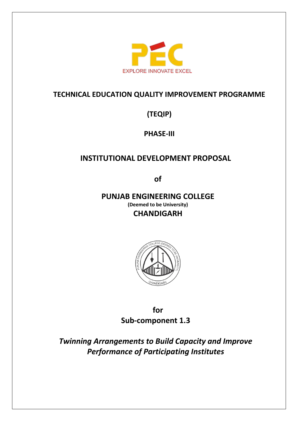

## **TECHNICAL EDUCATION QUALITY IMPROVEMENT PROGRAMME**

**(TEQIP)** 

**PHASE-III**

# **INSTITUTIONAL DEVELOPMENT PROPOSAL**

**of**

**PUNJAB ENGINEERING COLLEGE (Deemed to be University) CHANDIGARH**



**for Sub-component 1.3**

*Twinning Arrangements to Build Capacity and Improve Performance of Participating Institutes*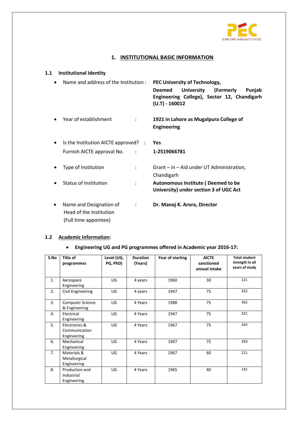

### **1. INSTITUTIONAL BASIC INFORMATION**

### **1.1 Institutional Identity**

|           | Name and address of the Institution:                                                          | PEC University of Technology,<br><b>University</b><br>(Formerly<br>Punjab<br><b>Deemed</b><br>Engineering College), Sector 12, Chandigarh<br>$(U.T) - 160012$ |
|-----------|-----------------------------------------------------------------------------------------------|---------------------------------------------------------------------------------------------------------------------------------------------------------------|
|           | Year of establishment<br>÷                                                                    | 1921 in Lahore as Mugalpura College of<br><b>Engineering</b>                                                                                                  |
| $\bullet$ | Is the Institution AICTE approved? :                                                          | <b>Yes</b>                                                                                                                                                    |
|           | Furnish AICTE approval No. :                                                                  | 1-2519066781                                                                                                                                                  |
|           | Type of Institution                                                                           | $G$ rant – in – Aid under UT Administration,<br>Chandigarh                                                                                                    |
|           | <b>Status of Institution</b><br>$\ddot{\cdot}$                                                | Autonomous Institute (Deemed to be<br>University) under section 3 of UGC Act                                                                                  |
|           | Name and Designation of<br>$\ddot{\cdot}$<br>Head of the Institution<br>(Full time appointee) | Dr. Manoj K. Arora, Director                                                                                                                                  |

#### **1.2 Academic Information:**

### **Engineering UG and PG programmes offered in Academic year 2016-17:**

| S.No | Title of<br>programmes                        | Level (UG,<br>PG, PhD) | <b>Duration</b><br>(Years) | Year of starting | <b>AICTE</b><br>sanctioned<br>annual intake | <b>Total student</b><br>strength in all<br>years of study |
|------|-----------------------------------------------|------------------------|----------------------------|------------------|---------------------------------------------|-----------------------------------------------------------|
| 1.   | Aerospace<br>Engineering                      | UG                     | 4 years                    | 1960             | 30                                          | 121                                                       |
| 2.   | Civil Engineering                             | UG                     | 4 years                    | 1947             | 75                                          | 322                                                       |
| 3.   | <b>Computer Science</b><br>& Engineering      | UG                     | 4 Years                    | 1988             | 75                                          | 362                                                       |
| 4.   | Electrical<br>Engineering                     | UG                     | 4 Years                    | 1947             | 75                                          | 321                                                       |
| 5.   | Electronics &<br>Communication<br>Engineering | UG                     | 4 Years                    | 1967             | 75                                          | 343                                                       |
| 6.   | Mechanical<br>Engineering                     | UG                     | 4 Years                    | 1947             | 75                                          | 359                                                       |
| 7.   | Materials &<br>Metallurgical<br>Engineering   | UG                     | 4 Years                    | 1967             | 60                                          | 211                                                       |
| 8.   | Production and<br>Industrial<br>Engineering   | UG                     | 4 Years                    | 1965             | 40                                          | 141                                                       |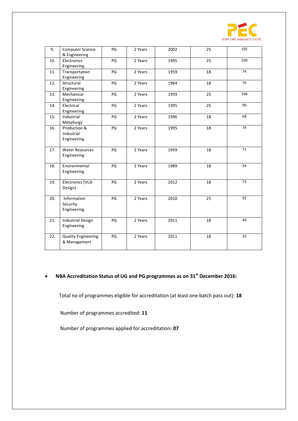

| 9.  | <b>Computer Science</b><br>& Engineering   | PG | 2 Years | 2002 | 25 | 105 |
|-----|--------------------------------------------|----|---------|------|----|-----|
| 10. | Electronics<br>Engineering                 | PG | 2 Years | 1995 | 25 | 100 |
| 11. | Transportation<br>Engineering              | PG | 2 Years | 1959 | 18 | 74  |
| 12. | Structural<br>Engineering                  | PG | 2 Years | 1964 | 18 | 76  |
| 13. | Mechanical<br>Engineering                  | PG | 2 Years | 1959 | 25 | 106 |
| 14. | Electrical<br>Engineering                  | PG | 2 Years | 1995 | 25 | 96  |
| 15. | Industrial<br>Metallurgy                   | PG | 2 Years | 1996 | 18 | 68  |
| 16. | Production &<br>Industrial<br>Engineering  | PG | 2 Years | 1995 | 18 | 74  |
| 17. | <b>Water Resources</b><br>Engineering      | PG | 2 Years | 1959 | 18 | 71  |
| 18. | Environmental<br>Engineering               | PG | 2 Years | 1989 | 18 | 54  |
| 19. | Electronics (VLSI<br>Design)               | PG | 2 Years | 2012 | 18 | 73  |
| 20. | Information<br>Security<br>Engineering     | PG | 2 Years | 2010 | 25 | 92  |
| 21. | <b>Industrial Design</b><br>Engineering    | PG | 2 Years | 2011 | 18 | 46  |
| 22. | <b>Quality Engineering</b><br>& Management | PG | 2 Years | 2011 | 18 | 35  |

### **NBA Accreditation Status of UG and PG programmes as on 31st December 2016:**

Total no of programmes eligible for accreditation (at least one batch pass out): **18**

Number of programmes accredited: **11**

Number of programmes applied for accreditation: **07**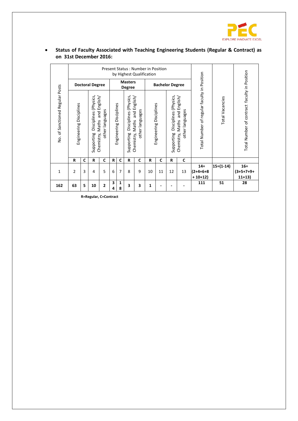

|                                 |                         |   | <b>Doctoral Degree</b>                 |                                                                  |        |                         | <b>Masters</b>                                                       |                                           | Present Status: Number in Position<br>by Highest Qualification |                         | <b>Bachelor Degree</b>              |                                                     |                                             |                        |                                              |
|---------------------------------|-------------------------|---|----------------------------------------|------------------------------------------------------------------|--------|-------------------------|----------------------------------------------------------------------|-------------------------------------------|----------------------------------------------------------------|-------------------------|-------------------------------------|-----------------------------------------------------|---------------------------------------------|------------------------|----------------------------------------------|
| No. of Sanctioned Regular Posts | Engineering Disciplines |   | (Physics,<br>Disciplines<br>Supporting | English/<br>other languages<br>$\frac{1}{2}$<br>Chemistry, Maths |        | Engineering Disciplines | <b>Degree</b><br>Disciplines (Physics,<br>and<br>Maths<br>Supporting | English/<br>other languages<br>Chemistry, |                                                                | Engineering Disciplines | Disciplines (Physics,<br>Supporting | and English/<br>other languages<br>Chemistry, Maths | Total Number of regular faculty in Position | <b>Total Vacancies</b> | Total Number of contract faculty in Position |
|                                 | R                       | C | R                                      | C                                                                | R      | $\mathbf c$             | R                                                                    | C                                         | R                                                              | C                       | R                                   | $\mathbf c$                                         |                                             |                        |                                              |
| 1                               | $\overline{2}$          | 3 | 4                                      | 5                                                                | 6      | $\overline{7}$          | 8                                                                    | 9                                         | 10                                                             | 11                      | 12                                  | 13                                                  | $14 =$<br>$(2+4+6+8)$<br>$+10+12)$          | $15=(1-14)$            | $16 =$<br>$(3+5+7+9+$<br>$11+13$             |
| 162                             | 63                      | 5 | 10                                     | 2                                                                | 3<br>4 | 1<br>8                  | 3                                                                    | 3                                         | 1                                                              | $\blacksquare$          |                                     |                                                     | 111                                         | 51                     | 28                                           |

 **Status of Faculty Associated with Teaching Engineering Students (Regular & Contract) as on 31st December 2016:**

**R=Regular, C=Contract**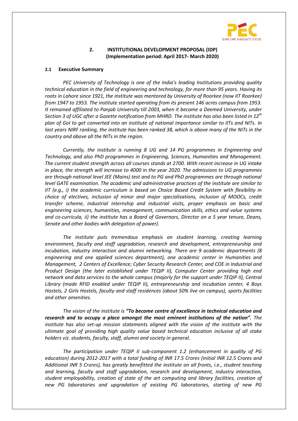

#### **2. INSTITUTIONAL DEVELOPMENT PROPOSAL (IDP) (Implementation period: April 2017- March 2020)**

#### **2.1 Executive Summary**

*PEC University of Technology is one of the India's leading Institutions providing quality technical education in the field of engineering and technology, for more than 95 years. Having its roots in Lahore since 1921, the institute was mentored by University of Roorkee (now IIT Roorkee) from 1947 to 1953. The institute started operating from its present 146 acres campus from 1953. It remained affiliated to Panjab University till 2003, when it became a Deemed University, under Section 3 of UGC after a Gazette notification from MHRD. The institute has also been listed in 12th plan of GoI to get converted into an institute of national importance similar to IITs and NITs. In*  last years NIRF ranking, the institute has been ranked 38, which is above many of the NITs in the *country and above all the NITs in the region.*

*Currently, the institute is running 8 UG and 14 PG programmes in Engineering and Technology, and also PhD programmes in Engineering, Sciences, Humanities and Management. The current student strength across all courses stands at 2700. With recent increase in UG intake in place, the strength will increase to 4000 in the year 2020. The admissions to UG programmes are through national level JEE (Mains) test and to PG and PhD programmes are through national level GATE examination. The academic and administrative practices of the institute are similar to IIT (e.g., i) the academic curriculum is based on Choice Based Credit System with flexibility in choice of electives, inclusion of minor and major specialisations, inclusion of MOOCs, credit transfer scheme, industrial internship and industrial visits, proper emphasis on basic and engineering sciences, humanities, management, communication skills, ethics and value systems and co-curricula, ii) the institute has a Board of Governors, Director on a 5 year tenure, Deans, Senate and other bodies with delegation of power).*

*The institute puts tremendous emphasis on student learning, creating learning environment, faculty and staff upgradation, research and development, entrepreneurship and incubation, industry interaction and alumni networking. There are 9 academic departments (8 engineering and one applied sciences department), one academic center in Humanities and Management, 2 Centers of Excellence; Cyber Security Research Center, and COE in Industrial and Product Design (the later established under TEQIP II), Computer Center providing high end network and data services to the whole campus (majorly for the support under TEQIP II), Central Library (made RFID enabled under TEQIP II), entrepreneurship and incubation center, 4 Boys Hostels, 2 Girls Hostels, faculty and staff residences (about 50% live on campus), sports facilities and other amenities.* 

*The vision of the institute is "To become centre of excellence in technical education and research and to occupy a place amongst the most eminent institutions of the nation". The institute has also set-up mission statements aligned with the vision of the institute with the ultimate goal of providing high quality value based technical education inclusive of all stake holders viz. students, faculty, staff, alumni and society in general.*

*The participation under TEQIP II sub-component 1.2 (enhancement in quality of PG education) during 2012-2017 with a total funding of INR 17.5 Crores (initial INR 12.5 Crores and Additional INR 5 Crores), has greatly benefitted the institute on all fronts, i.e., student teaching and learning, faculty and staff upgradation, research and development, industry interaction, student employability, creation of state of the art computing and library facilities, creation of new PG laboratories and upgradation of existing PG laboratories, starting of new PG*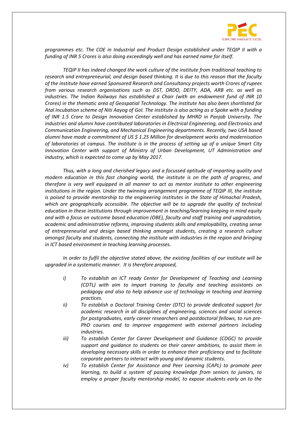

*programmes etc. The COE in Industrial and Product Design established under TEQIP II with a funding of INR 5 Crores is also doing exceedingly well and has earned name for itself.* 

*TEQIP II has indeed changed the work culture of the institute from traditional teaching to research and entrepreneurial, and design based thinking. It is due to this reason that the faculty of the institute have earned Sponsored Research and Consultancy projects worth Crores of rupees from various research organisations such as DST, DRDO, DEITY, ADA, ARB etc. as well as industries. The Indian Railways has established a Chair (with an endowment fund of INR 10 Crores) in the thematic area of Geospatial Technology. The institute has also been shortlisted for Atal Incubation scheme of Niti Aayog of GoI. The institute is also acting as a Spoke with a funding of INR 1.5 Crore to Design Innovation Center established by MHRD in Panjab University. The industries and alumni have contributed laboratories in Electrical Engineering, and Electronics and Communication Engineering, and Mechanical Engineering departments. Recently, two USA based alumni have made a commitment of US \$ 1.25 Million for development works and modernisation of laboratories at campus. The institute is in the process of setting up of a unique Smart City Innovation Center with support of Ministry of Urban Development, UT Administration and industry, which is expected to come up by May 2017.*

*Thus, with a long and cherished legacy and a focussed aptitude of imparting quality and modern education in this fast changing world, the institute is on the path of progress, and therefore is very well equipped in all manner to act as mentor institute to other engineering institutions in the region. Under the twinning arrangement programme of TEQIP III, the institute is poised to provide mentorship to the engineering institutes in the State of Himachal Pradesh, which are geographically accessible. The objective will be to upgrade the quality of technical education in these institutions through improvement in teaching/learning keeping in mind equity and with a focus on outcome based education (OBE), faculty and staff training and upgradation, academic and administrative reforms, improving students skills and employability, creating sense of entrepreneurial and design based thinking amongst students, creating a research culture amongst faculty and students, connecting the institute with industries in the region and bringing in ICT based environment in teaching learning processes.* 

*In order to fulfil the objective stated above, the existing facilities of our institute will be upgraded in a systematic manner. It is therefore proposed,*

- *i) To establish an ICT ready Center for Development of Teaching and Learning (CDTL) with aim to impart training to faculty and teaching assistants on pedagogy and also to help advance use of technology in teaching and learning practices.*
- *ii) To establish a Doctoral Training Center (DTC) to provide dedicated support for academic research in all disciplines of engineering, sciences and social sciences for postgraduates, early career researchers and postdoctoral fellows, to run pre-PhD courses and to improve engagement with external partners including industries.*
- *iii) To establish Center for Career Development and Guidance (CDGC) to provide support and guidance to students on their career ambitions, to assist them in developing necessary skills in order to enhance their proficiency and to facilitate corporate partners to interact with young and dynamic students.*
- *iv) To establish Center for Assistance and Peer Learning (CAPL) to promote peer learning, to build a system of passing knowledge from seniors to juniors, to employ a proper faculty mentorship model, to expose students early on to the*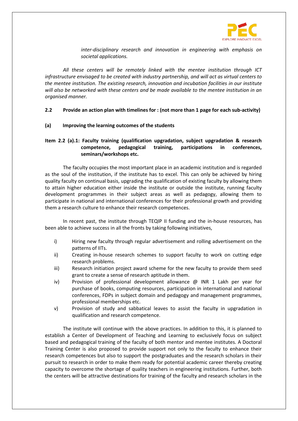

*inter-disciplinary research and innovation in engineering with emphasis on societal applications.*

*All these centers will be remotely linked with the mentee institution through ICT infrastructure envisaged to be created with industry partnership, and will act as virtual centers to the mentee institution. The existing research, innovation and incubation facilities in our institute will also be networked with these centers and be made available to the mentee institution in an organised manner.*

#### **2.2 Provide an action plan with timelines for : (not more than 1 page for each sub-activity)**

**(a) Improving the learning outcomes of the students**

### **Item 2.2 (a).1: Faculty training (qualification upgradation, subject upgradation & research competence, pedagogical training, participations in conferences, seminars/workshops etc.**

The faculty occupies the most important place in an academic institution and is regarded as the soul of the institution, if the institute has to excel. This can only be achieved by hiring quality faculty on continual basis, upgrading the qualification of existing faculty by allowing them to attain higher education either inside the institute or outside the institute, running faculty development programmes in their subject areas as well as pedagogy, allowing them to participate in national and international conferences for their professional growth and providing them a research culture to enhance their research competences.

In recent past, the institute through TEQIP II funding and the in-house resources, has been able to achieve success in all the fronts by taking following initiatives,

- i) Hiring new faculty through regular advertisement and rolling advertisement on the patterns of IITs.
- ii) Creating in-house research schemes to support faculty to work on cutting edge research problems.
- iii) Research initiation project award scheme for the new faculty to provide them seed grant to create a sense of research aptitude in them.
- iv) Provision of professional development allowance @ INR 1 Lakh per year for purchase of books, computing resources, participation in international and national conferences, FDPs in subject domain and pedagogy and management programmes, professional memberships etc.
- v) Provision of study and sabbatical leaves to assist the faculty in upgradation in qualification and research competence.

The institute will continue with the above practices. In addition to this, it is planned to establish a Center of Development of Teaching and Learning to exclusively focus on subject based and pedagogical training of the faculty of both mentor and mentee institutes. A Doctoral Training Center is also proposed to provide support not only to the faculty to enhance their research competences but also to support the postgraduates and the research scholars in their pursuit to research in order to make them ready for potential academic career thereby creating capacity to overcome the shortage of quality teachers in engineering institutions. Further, both the centers will be attractive destinations for training of the faculty and research scholars in the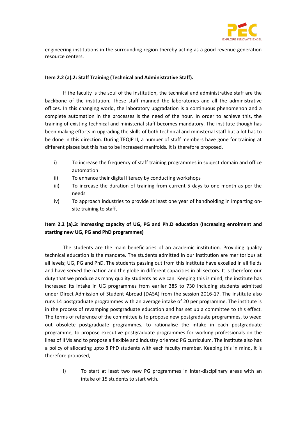

engineering institutions in the surrounding region thereby acting as a good revenue generation resource centers.

#### **Item 2.2 (a).2: Staff Training (Technical and Administrative Staff).**

If the faculty is the soul of the institution, the technical and administrative staff are the backbone of the institution. These staff manned the laboratories and all the administrative offices. In this changing world, the laboratory upgradation is a continuous phenomenon and a complete automation in the processes is the need of the hour. In order to achieve this, the training of existing technical and ministerial staff becomes mandatory. The institute though has been making efforts in upgrading the skills of both technical and ministerial staff but a lot has to be done in this direction. During TEQIP II, a number of staff members have gone for training at different places but this has to be increased manifolds. It is therefore proposed,

- i) To increase the frequency of staff training programmes in subject domain and office automation
- ii) To enhance their digital literacy by conducting workshops
- iii) To increase the duration of training from current 5 days to one month as per the needs
- iv) To approach industries to provide at least one year of handholding in imparting onsite training to staff.

### **Item 2.2 (a).3: Increasing capacity of UG, PG and Ph.D education (Increasing enrolment and starting new UG, PG and PhD programmes)**

The students are the main beneficiaries of an academic institution. Providing quality technical education is the mandate. The students admitted in our institution are meritorious at all levels; UG, PG and PhD. The students passing out from this institute have excelled in all fields and have served the nation and the globe in different capacities in all sectors. It is therefore our duty that we produce as many quality students as we can. Keeping this is mind, the institute has increased its intake in UG programmes from earlier 385 to 730 including students admitted under Direct Admission of Student Abroad (DASA) from the session 2016-17. The institute also runs 14 postgraduate programmes with an average intake of 20 per programme. The institute is in the process of revamping postgraduate education and has set up a committee to this effect. The terms of reference of the committee is to propose new postgraduate programmes, to weed out obsolete postgraduate programmes, to rationalise the intake in each postgraduate programme, to propose executive postgraduate programmes for working professionals on the lines of IIMs and to propose a flexible and industry oriented PG curriculum. The institute also has a policy of allocating upto 8 PhD students with each faculty member. Keeping this in mind, it is therefore proposed,

i) To start at least two new PG programmes in inter-disciplinary areas with an intake of 15 students to start with.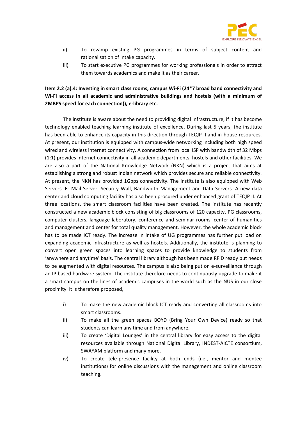

- ii) To revamp existing PG programmes in terms of subject content and rationalisation of intake capacity.
- iii) To start executive PG programmes for working professionals in order to attract them towards academics and make it as their career.

### **Item 2.2 (a).4: Investing in smart class rooms, campus Wi-Fi (24\*7 broad band connectivity and Wi-Fi access in all academic and administrative buildings and hostels (with a minimum of 2MBPS speed for each connection)), e-library etc.**

The institute is aware about the need to providing digital infrastructure, if it has become technology enabled teaching learning institute of excellence. During last 5 years, the institute has been able to enhance its capacity in this direction through TEQIP II and in-house resources. At present, our institution is equipped with campus-wide networking including both high speed wired and wireless internet connectivity. A connection from local ISP with bandwidth of 32 Mbps (1:1) provides internet connectivity in all academic departments, hostels and other facilities. We are also a part of the National Knowledge Network (NKN) which is a project that aims at establishing a strong and robust Indian network which provides secure and reliable connectivity. At present, the NKN has provided 1Gbps connectivity. The institute is also equipped with Web Servers, E- Mail Server, Security Wall, Bandwidth Management and Data Servers. A new data center and cloud computing facility has also been procured under enhanced grant of TEQIP II. At three locations, the smart classroom facilities have been created. The institute has recently constructed a new academic block consisting of big classrooms of 120 capacity, PG classrooms, computer clusters, language laboratory, conference and seminar rooms, center of humanities and management and center for total quality management. However, the whole academic block has to be made ICT ready. The increase in intake of UG programmes has further put load on expanding academic infrastructure as well as hostels. Additionally, the institute is planning to convert open green spaces into learning spaces to provide knowledge to students from 'anywhere and anytime' basis. The central library although has been made RFID ready but needs to be augmented with digital resources. The campus is also being put on e-surveillance through an IP based hardware system. The institute therefore needs to continuously upgrade to make it a smart campus on the lines of academic campuses in the world such as the NUS in our close proximity. It is therefore proposed,

- i) To make the new academic block ICT ready and converting all classrooms into smart classrooms.
- ii) To make all the green spaces BOYD (Bring Your Own Device) ready so that students can learn any time and from anywhere.
- iii) To create 'Digital Lounges' in the central library for easy access to the digital resources available through National Digital Library, INDEST-AICTE consortium, SWAYAM platform and many more.
- iv) To create tele-presence facility at both ends (i.e., mentor and mentee institutions) for online discussions with the management and online classroom teaching.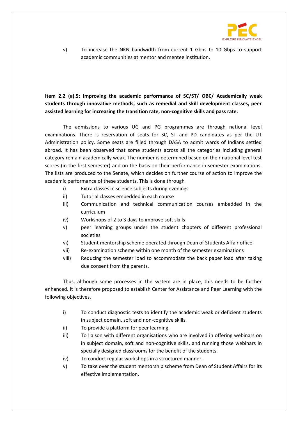

v) To increase the NKN bandwidth from current 1 Gbps to 10 Gbps to support academic communities at mentor and mentee institution.

**Item 2.2 (a).5: Improving the academic performance of SC/ST/ OBC/ Academically weak students through innovative methods, such as remedial and skill development classes, peer assisted learning for increasing the transition rate, non-cognitive skills and pass rate.**

The admissions to various UG and PG programmes are through national level examinations. There is reservation of seats for SC, ST and PD candidates as per the UT Administration policy. Some seats are filled through DASA to admit wards of Indians settled abroad. It has been observed that some students across all the categories including general category remain academically weak. The number is determined based on their national level test scores (in the first semester) and on the basis on their performance in semester examinations. The lists are produced to the Senate, which decides on further course of action to improve the academic performance of these students. This is done through

- i) Extra classes in science subjects during evenings
- ii) Tutorial classes embedded in each course
- iii) Communication and technical communication courses embedded in the curriculum
- iv) Workshops of 2 to 3 days to improve soft skills
- v) peer learning groups under the student chapters of different professional societies
- vi) Student mentorship scheme operated through Dean of Students Affair office
- vii) Re-examination scheme within one month of the semester examinations
- viii) Reducing the semester load to accommodate the back paper load after taking due consent from the parents.

Thus, although some processes in the system are in place, this needs to be further enhanced. It is therefore proposed to establish Center for Assistance and Peer Learning with the following objectives,

- i) To conduct diagnostic tests to identify the academic weak or deficient students in subject domain, soft and non-cognitive skills.
- ii) To provide a platform for peer learning.
- iii) To liaison with different organisations who are involved in offering webinars on in subject domain, soft and non-cognitive skills, and running those webinars in specially designed classrooms for the benefit of the students.
- iv) To conduct regular workshops in a structured manner.
- v) To take over the student mentorship scheme from Dean of Student Affairs for its effective implementation.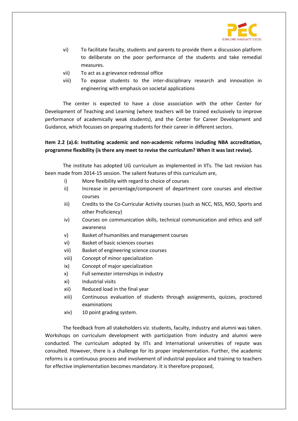

- vi) To facilitate faculty, students and parents to provide them a discussion platform to deliberate on the poor performance of the students and take remedial measures.
- vii) To act as a grievance redressal office
- viii) To expose students to the inter-disciplinary research and innovation in engineering with emphasis on societal applications

The center is expected to have a close association with the other Center for Development of Teaching and Learning (where teachers will be trained exclusively to improve performance of academically weak students), and the Center for Career Development and Guidance, which focusses on preparing students for their career in different sectors.

### **Item 2.2 (a).6: Instituting academic and non-academic reforms including NBA accreditation, programme flexibility (is there any meet to revise the curriculum? When it was last revise).**

The institute has adopted UG curriculum as implemented in IITs. The last revision has been made from 2014-15 session. The salient features of this curriculum are,

- i) More flexibility with regard to choice of courses
- ii) Increase in percentage/component of department core courses and elective courses
- iii) Credits to the Co-Curricular Activity courses (such as NCC, NSS, NSO, Sports and other Proficiency)
- iv) Courses on communication skills, technical communication and ethics and self awareness
- v) Basket of humanities and management courses
- vi) Basket of basic sciences courses
- vii) Basket of engineering science courses
- viii) Concept of minor specialization
- ix) Concept of major specialization
- x) Full semester internships in industry
- xi) Industrial visits
- xii) Reduced load in the final year
- xiii) Continuous evaluation of students through assignments, quizzes, proctored examinations
- xiv) 10 point grading system.

The feedback from all stakeholders viz. students, faculty, industry and alumni was taken. Workshops on curriculum development with participation from industry and alumni were conducted. The curriculum adopted by IITs and International universities of repute was consulted. However, there is a challenge for its proper implementation. Further, the academic reforms is a continuous process and involvement of industrial populace and training to teachers for effective implementation becomes mandatory. It is therefore proposed,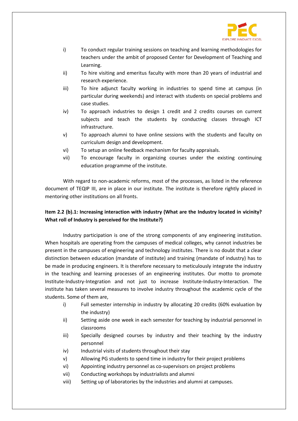

- i) To conduct regular training sessions on teaching and learning methodologies for teachers under the ambit of proposed Center for Development of Teaching and Learning.
- ii) To hire visiting and emeritus faculty with more than 20 years of industrial and research experience.
- iii) To hire adjunct faculty working in industries to spend time at campus (in particular during weekends) and interact with students on special problems and case studies.
- iv) To approach industries to design 1 credit and 2 credits courses on current subjects and teach the students by conducting classes through ICT infrastructure.
- v) To approach alumni to have online sessions with the students and faculty on curriculum design and development.
- vi) To setup an online feedback mechanism for faculty appraisals.
- vii) To encourage faculty in organizing courses under the existing continuing education programme of the institute.

With regard to non-academic reforms, most of the processes, as listed in the reference document of TEQIP III, are in place in our institute. The institute is therefore rightly placed in mentoring other institutions on all fronts.

### **Item 2.2 (b).1: Increasing interaction with industry (What are the Industry located in vicinity? What roll of Industry is perceived for the Institute?)**

Industry participation is one of the strong components of any engineering institution. When hospitals are operating from the campuses of medical colleges, why cannot industries be present in the campuses of engineering and technology institutes. There is no doubt that a clear distinction between education (mandate of institute) and training (mandate of industry) has to be made in producing engineers. It is therefore necessary to meticulously integrate the industry in the teaching and learning processes of an engineering institutes. Our motto to promote Institute-Industry-Integration and not just to increase Institute-Industry-Interaction. The institute has taken several measures to involve industry throughout the academic cycle of the students. Some of them are,

- i) Full semester internship in industry by allocating 20 credits (60% evaluation by the industry)
- ii) Setting aside one week in each semester for teaching by industrial personnel in classrooms
- iii) Specially designed courses by industry and their teaching by the industry personnel
- iv) Industrial visits of students throughout their stay
- v) Allowing PG students to spend time in industry for their project problems
- vi) Appointing industry personnel as co-supervisors on project problems
- vii) Conducting workshops by industrialists and alumni
- viii) Setting up of laboratories by the industries and alumni at campuses.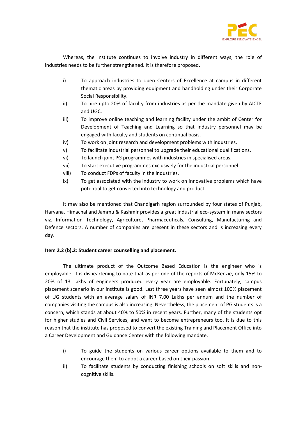

Whereas, the institute continues to involve industry in different ways, the role of industries needs to be further strengthened. It is therefore proposed,

- i) To approach industries to open Centers of Excellence at campus in different thematic areas by providing equipment and handholding under their Corporate Social Responsibility.
- ii) To hire upto 20% of faculty from industries as per the mandate given by AICTE and UGC.
- iii) To improve online teaching and learning facility under the ambit of Center for Development of Teaching and Learning so that industry personnel may be engaged with faculty and students on continual basis.
- iv) To work on joint research and development problems with industries.
- v) To facilitate industrial personnel to upgrade their educational qualifications.
- vi) To launch joint PG programmes with industries in specialised areas.
- vii) To start executive programmes exclusively for the industrial personnel.
- viii) To conduct FDPs of faculty in the industries.
- ix) To get associated with the industry to work on innovative problems which have potential to get converted into technology and product.

It may also be mentioned that Chandigarh region surrounded by four states of Punjab, Haryana, Himachal and Jammu & Kashmir provides a great industrial eco-system in many sectors viz. Information Technology, Agriculture, Pharmaceuticals, Consulting, Manufacturing and Defence sectors. A number of companies are present in these sectors and is increasing every day.

#### **Item 2.2 (b).2: Student career counselling and placement.**

The ultimate product of the Outcome Based Education is the engineer who is employable. It is disheartening to note that as per one of the reports of McKenzie, only 15% to 20% of 13 Lakhs of engineers produced every year are employable. Fortunately, campus placement scenario in our institute is good. Last three years have seen almost 100% placement of UG students with an average salary of INR 7.00 Lakhs per annum and the number of companies visiting the campus is also increasing. Nevertheless, the placement of PG students is a concern, which stands at about 40% to 50% in recent years. Further, many of the students opt for higher studies and Civil Services, and want to become entrepreneurs too. It is due to this reason that the institute has proposed to convert the existing Training and Placement Office into a Career Development and Guidance Center with the following mandate,

- i) To guide the students on various career options available to them and to encourage them to adopt a career based on their passion.
- ii) To facilitate students by conducting finishing schools on soft skills and noncognitive skills.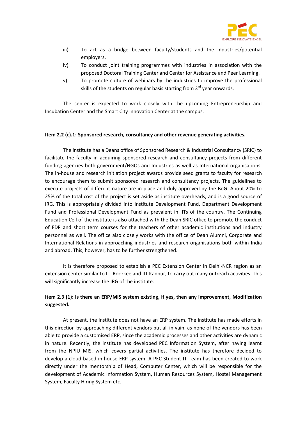

- iii) To act as a bridge between faculty/students and the industries/potential employers.
- iv) To conduct joint training programmes with industries in association with the proposed Doctoral Training Center and Center for Assistance and Peer Learning.
- v) To promote culture of webinars by the industries to improve the professional skills of the students on regular basis starting from  $3<sup>rd</sup>$  year onwards.

The center is expected to work closely with the upcoming Entrepreneurship and Incubation Center and the Smart City Innovation Center at the campus.

#### **Item 2.2 (c).1: Sponsored research, consultancy and other revenue generating activities.**

The institute has a Deans office of Sponsored Research & Industrial Consultancy (SRIC) to facilitate the faculty in acquiring sponsored research and consultancy projects from different funding agencies both government/NGOs and Industries as well as International organisations. The in-house and research initiation project awards provide seed grants to faculty for research to encourage them to submit sponsored research and consultancy projects. The guidelines to execute projects of different nature are in place and duly approved by the BoG. About 20% to 25% of the total cost of the project is set aside as institute overheads, and is a good source of IRG. This is appropriately divided into Institute Development Fund, Department Development Fund and Professional Development Fund as prevalent in IITs of the country. The Continuing Education Cell of the institute is also attached with the Dean SRIC office to promote the conduct of FDP and short term courses for the teachers of other academic institutions and industry personnel as well. The office also closely works with the office of Dean Alumni, Corporate and International Relations in approaching industries and research organisations both within India and abroad. This, however, has to be further strengthened.

It is therefore proposed to establish a PEC Extension Center in Delhi-NCR region as an extension center similar to IIT Roorkee and IIT Kanpur, to carry out many outreach activities. This will significantly increase the IRG of the institute.

### **Item 2.3 (1): Is there an ERP/MIS system existing, if yes, then any improvement, Modification suggested.**

At present, the institute does not have an ERP system. The institute has made efforts in this direction by approaching different vendors but all in vain, as none of the vendors has been able to provide a customised ERP, since the academic processes and other activities are dynamic in nature. Recently, the institute has developed PEC Information System, after having learnt from the NPIU MIS, which covers partial activities. The institute has therefore decided to develop a cloud based in-house ERP system. A PEC Student IT Team has been created to work directly under the mentorship of Head, Computer Center, which will be responsible for the development of Academic Information System, Human Resources System, Hostel Management System, Faculty Hiring System etc.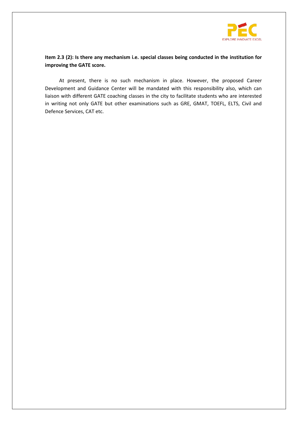

### **Item 2.3 (2): Is there any mechanism i.e. special classes being conducted in the institution for improving the GATE score.**

At present, there is no such mechanism in place. However, the proposed Career Development and Guidance Center will be mandated with this responsibility also, which can liaison with different GATE coaching classes in the city to facilitate students who are interested in writing not only GATE but other examinations such as GRE, GMAT, TOEFL, ELTS, Civil and Defence Services, CAT etc.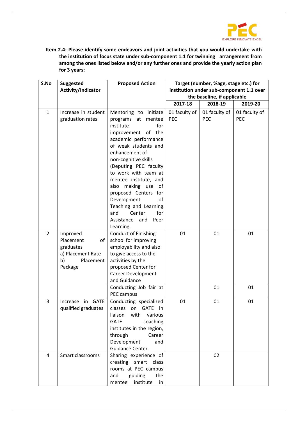

**Item 2.4: Please identify some endeavors and joint activities that you would undertake with the institution of focus state under sub-component 1.1 for twinning arrangement from among the ones listed below and/or any further ones and provide the yearly action plan for 3 years:**

| S.No           | <b>Suggested</b>                                                                            | <b>Proposed Action</b>                                                                                                                                                                                                                                                                                                                                                                                     | Target (number, %age, stage etc.) for                                   |                             |                             |  |  |  |
|----------------|---------------------------------------------------------------------------------------------|------------------------------------------------------------------------------------------------------------------------------------------------------------------------------------------------------------------------------------------------------------------------------------------------------------------------------------------------------------------------------------------------------------|-------------------------------------------------------------------------|-----------------------------|-----------------------------|--|--|--|
|                | Activity/Indicator                                                                          |                                                                                                                                                                                                                                                                                                                                                                                                            | institution under sub-component 1.1 over<br>the baseline, if applicable |                             |                             |  |  |  |
|                |                                                                                             |                                                                                                                                                                                                                                                                                                                                                                                                            | 2017-18<br>2018-19<br>2019-20                                           |                             |                             |  |  |  |
|                |                                                                                             |                                                                                                                                                                                                                                                                                                                                                                                                            |                                                                         |                             |                             |  |  |  |
| $\mathbf{1}$   | Increase in student<br>graduation rates                                                     | Mentoring to initiate<br>programs at<br>mentee<br>institute<br>for<br>improvement of the<br>academic performance<br>of weak students and<br>enhancement of<br>non-cognitive skills<br>(Deputing PEC faculty<br>to work with team at<br>mentee institute, and<br>also making use of<br>proposed Centers for<br>Development<br>οf<br>Teaching and Learning<br>for<br>and<br>Center<br>Assistance and<br>Peer | 01 faculty of<br><b>PEC</b>                                             | 01 faculty of<br><b>PEC</b> | 01 faculty of<br><b>PEC</b> |  |  |  |
|                |                                                                                             | Learning.                                                                                                                                                                                                                                                                                                                                                                                                  |                                                                         |                             |                             |  |  |  |
| $\overline{2}$ | Improved<br>Placement<br>of<br>graduates<br>a) Placement Rate<br>b)<br>Placement<br>Package | <b>Conduct of Finishing</b><br>school for improving<br>employability and also<br>to give access to the<br>activities by the<br>proposed Center for<br><b>Career Development</b><br>and Guidance                                                                                                                                                                                                            | 01                                                                      | 01                          | 01                          |  |  |  |
|                |                                                                                             | Conducting Job fair at<br>PEC campus                                                                                                                                                                                                                                                                                                                                                                       |                                                                         | 01                          | 01                          |  |  |  |
| 3              | GATE<br>Increase<br>in<br>qualified graduates                                               | Conducting specialized<br>classes<br><b>GATE</b><br>in<br>on<br>liaison<br>with<br>various<br><b>GATE</b><br>coaching<br>institutes in the region,<br>through<br>Career<br>Development<br>and<br>Guidance Center.                                                                                                                                                                                          | 01                                                                      | 01                          | 01                          |  |  |  |
| 4              | Smart classrooms                                                                            | Sharing experience of<br>creating smart class<br>rooms at PEC campus<br>guiding<br>and<br>the<br>institute<br>mentee<br>in                                                                                                                                                                                                                                                                                 |                                                                         | 02                          |                             |  |  |  |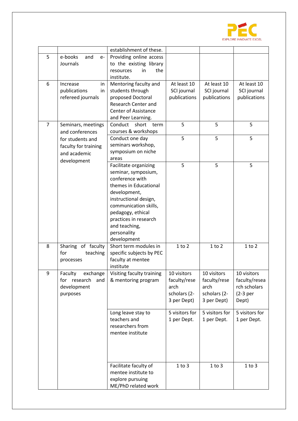

|                |                        | establishment of these.   |                |                |                |
|----------------|------------------------|---------------------------|----------------|----------------|----------------|
| 5              | e-books<br>and<br>$e-$ | Providing online access   |                |                |                |
|                | Journals               | to the existing library   |                |                |                |
|                |                        | the<br>resources<br>in    |                |                |                |
|                |                        | institute.                |                |                |                |
| 6              | Increase<br>in         | Mentoring faculty and     | At least 10    | At least 10    | At least 10    |
|                | publications<br>in     | students through          | SCI journal    | SCI journal    | SCI journal    |
|                | refereed journals      | proposed Doctoral         | publications   | publications   | publications   |
|                |                        | Research Center and       |                |                |                |
|                |                        | Center of Assistance      |                |                |                |
|                |                        | and Peer Learning.        |                |                |                |
| $\overline{7}$ | Seminars, meetings     | Conduct<br>short<br>term  | 5              | 5              | 5              |
|                | and conferences        | courses & workshops       |                |                |                |
|                | for students and       | Conduct one day           | 5              | 5              | 5              |
|                | faculty for training   | seminars workshop,        |                |                |                |
|                | and academic           | symposium on niche        |                |                |                |
|                |                        | areas                     |                |                |                |
|                | development            | Facilitate organizing     | 5              | 5              | 5              |
|                |                        | seminar, symposium,       |                |                |                |
|                |                        | conference with           |                |                |                |
|                |                        | themes in Educational     |                |                |                |
|                |                        | development,              |                |                |                |
|                |                        | instructional design,     |                |                |                |
|                |                        | communication skills,     |                |                |                |
|                |                        | pedagogy, ethical         |                |                |                |
|                |                        | practices in research     |                |                |                |
|                |                        | and teaching,             |                |                |                |
|                |                        | personality               |                |                |                |
|                |                        | development               |                |                |                |
| 8              | Sharing of faculty     | Short term modules in     | $1$ to $2$     | $1$ to $2$     | $1$ to $2$     |
|                | teaching<br>for        | specific subjects by PEC  |                |                |                |
|                | processes              | faculty at mentee         |                |                |                |
|                |                        | institute                 |                |                |                |
| 9              | Faculty<br>exchange    | Visiting faculty training | 10 visitors    | 10 visitors    | 10 visitors    |
|                | for research<br>and    | & mentoring program       | faculty/rese   | faculty/rese   | faculty/resea  |
|                | development            |                           | arch           | arch           | rch scholars   |
|                | purposes               |                           | scholars (2-   | scholars (2-   | $(2-3per)$     |
|                |                        |                           | 3 per Dept)    | 3 per Dept)    | Dept)          |
|                |                        |                           |                |                |                |
|                |                        | Long leave stay to        | 5 visitors for | 5 visitors for | 5 visitors for |
|                |                        | teachers and              | 1 per Dept.    | 1 per Dept.    | 1 per Dept.    |
|                |                        | researchers from          |                |                |                |
|                |                        | mentee institute          |                |                |                |
|                |                        |                           |                |                |                |
|                |                        |                           |                |                |                |
|                |                        |                           |                |                |                |
|                |                        | Facilitate faculty of     | $1$ to $3$     | $1$ to $3$     | $1$ to $3$     |
|                |                        | mentee institute to       |                |                |                |
|                |                        | explore pursuing          |                |                |                |
|                |                        | ME/PhD related work       |                |                |                |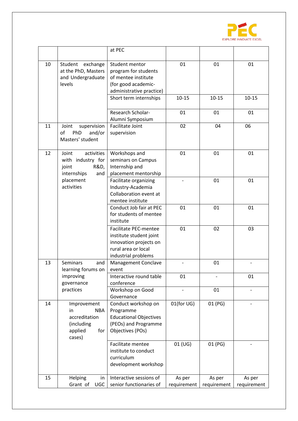

|    |                                                                                                            | at PEC                                                                                                                          |                       |                       |                       |
|----|------------------------------------------------------------------------------------------------------------|---------------------------------------------------------------------------------------------------------------------------------|-----------------------|-----------------------|-----------------------|
| 10 | Student<br>exchange<br>at the PhD, Masters<br>and Undergraduate<br>levels                                  | Student mentor<br>program for students<br>of mentee institute<br>(for good academic-<br>administrative practice)                | 01                    | 01                    | 01                    |
|    |                                                                                                            | Short term internships                                                                                                          | $10 - 15$             | $10 - 15$             | $10 - 15$             |
|    |                                                                                                            | Research Scholar-<br>Alumni Symposium                                                                                           | 01                    | 01                    | 01                    |
| 11 | supervision<br>Joint<br>of<br>PhD<br>and/or<br>Masters' student                                            | <b>Facilitate Joint</b><br>supervision                                                                                          | 02                    | 04                    | 06                    |
| 12 | activities<br>Joint<br>with industry for<br>R&D,<br>joint<br>internships<br>and<br>placement<br>activities | Workshops and<br>seminars on Campus<br>Internship and<br>placement mentorship                                                   | 01                    | 01                    | 01                    |
|    |                                                                                                            | Facilitate organizing<br>Industry-Academia<br>Collaboration event at<br>mentee institute                                        | $\overline{a}$        | 01                    | 01                    |
|    |                                                                                                            | Conduct Job fair at PEC<br>for students of mentee<br>institute                                                                  | 01                    | 01                    | 01                    |
|    |                                                                                                            | <b>Facilitate PEC-mentee</b><br>institute student joint<br>innovation projects on<br>rural area or local<br>industrial problems | 01                    | 02                    | 03                    |
| 13 | <b>Seminars</b><br>and<br>learning forums on                                                               | Management Conclave<br>event                                                                                                    |                       | 01                    |                       |
|    | improving<br>governance                                                                                    | Interactive round table<br>conference                                                                                           | 01                    |                       | 01                    |
|    | practices                                                                                                  | Workshop on Good<br>Governance                                                                                                  |                       | 01                    |                       |
| 14 | Improvement<br><b>NBA</b><br>in<br>accreditation<br>(including<br>applied<br>for<br>cases)                 | Conduct workshop on<br>Programme<br><b>Educational Objectives</b><br>(PEOs) and Programme<br>Objectives (POs)                   | 01(for UG)            | 01 (PG)               |                       |
|    |                                                                                                            | Facilitate mentee<br>institute to conduct<br>curriculum<br>development workshop                                                 | 01 (UG)               | 01 (PG)               |                       |
| 15 | Helping<br>in<br><b>UGC</b><br>Grant of                                                                    | Interactive sessions of<br>senior functionaries of                                                                              | As per<br>requirement | As per<br>requirement | As per<br>requirement |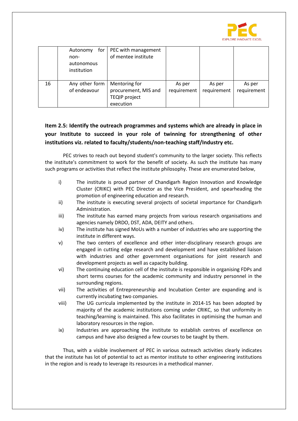

|    | for<br>Autonomy<br>non-<br>autonomous<br>institution | PEC with management<br>of mentee institute                                 |                       |                       |                       |
|----|------------------------------------------------------|----------------------------------------------------------------------------|-----------------------|-----------------------|-----------------------|
| 16 | Any other form<br>of endeavour                       | Mentoring for<br>procurement, MIS and<br><b>TEQIP project</b><br>execution | As per<br>requirement | As per<br>requirement | As per<br>requirement |

## **Item 2.5: Identify the outreach programmes and systems which are already in place in your Institute to succeed in your role of twinning for strengthening of other institutions viz. related to faculty/students/non-teaching staff/Industry etc.**

PEC strives to reach out beyond student's community to the larger society. This reflects the institute's commitment to work for the benefit of society. As such the institute has many such programs or activities that reflect the institute philosophy. These are enumerated below,

- i) The institute is proud partner of Chandigarh Region Innovation and Knowledge Cluster (CRIKC) with PEC Director as the Vice President, and spearheading the promotion of engineering education and research.
- ii) The institute is executing several projects of societal importance for Chandigarh Administration.
- iii) The institute has earned many projects from various research organisations and agencies namely DRDO, DST, ADA, DEITY and others.
- iv) The institute has signed MoUs with a number of industries who are supporting the institute in different ways.
- v) The two centers of excellence and other inter-disciplinary research groups are engaged in cutting edge research and development and have established liaison with industries and other government organisations for joint research and development projects as well as capacity building.
- vi) The continuing education cell of the institute is responsible in organising FDPs and short terms courses for the academic community and industry personnel in the surrounding regions.
- vii) The activities of Entrepreneurship and Incubation Center are expanding and is currently incubating two companies.
- viii) The UG curricula implemented by the institute in 2014-15 has been adopted by majority of the academic institutions coming under CRIKC, so that uniformity in teaching/learning is maintained. This also facilitates in optimising the human and laboratory resources in the region.
- ix) Industries are approaching the institute to establish centres of excellence on campus and have also designed a few courses to be taught by them.

Thus, with a visible involvement of PEC in various outreach activities clearly indicates that the institute has lot of potential to act as mentor institute to other engineering institutions in the region and is ready to leverage its resources in a methodical manner.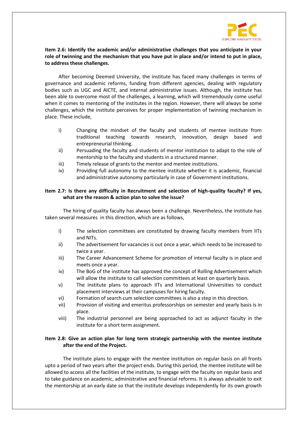

### **Item 2.6: Identify the academic and/or administrative challenges that you anticipate in your role of twinning and the mechanism that you have put in place and/or intend to put in place, to address these challenges.**

After becoming Deemed University, the institute has faced many challenges in terms of governance and academic reforms, funding from different agencies, dealing with regulatory bodies such as UGC and AICTE, and internal administrative issues. Although, the institute has been able to overcome most of the challenges, a learning, which will tremendously come useful when it comes to mentoring of the institutes in the region. However, there will always be some challenges, which the institute perceives for proper implementation of twinning mechanism in place. These include,

- i) Changing the mindset of the faculty and students of mentee institute from traditional teaching towards research, innovation, design based and entrepreneurial thinking.
- ii) Persuading the faculty and students of mentor institution to adapt to the role of mentorship to the faculty and students in a structured manner.
- iii) Timely release of grants to the mentor and mentee institutions.
- iv) Providing full autonomy to the mentee institute whether it is academic, financial and administrative autonomy particularly in case of Government institutions.

#### **Item 2.7: Is there any difficulty in Recruitment and selection of high-quality faculty? If yes, what are the reason & action plan to solve the issue?**

The hiring of quality faculty has always been a challenge. Nevertheless, the institute has taken several measures in this direction, which are as follows,

- i) The selection committees are constituted by drawing faculty members from IITs and NITs.
- ii) The advertisement for vacancies is out once a year, which needs to be increased to twice a year.
- iii) The Career Advancement Scheme for promotion of internal faculty is in place and meets once a year.
- iv) The BoG of the institute has approved the concept of Rolling Advertisement which will allow the institute to call selection committees at least on quarterly basis.
- v) The institute plans to approach IITs and International Universities to conduct placement interviews at their campuses for hiring faculty.
- vi) Formation of search cum selection committees is also a step in this direction.
- vii) Provision of visiting and emeritus professorships on semester and yearly basis is in place.
- viii) The industrial personnel are being approached to act as adjunct faculty in the institute for a short term assignment.

#### **Item 2.8: Give an action plan for long term strategic partnership with the mentee institute after the end of the Project.**

The institute plans to engage with the mentee institution on regular basis on all fronts upto a period of two years after the project ends. During this period, the mentee institute will be allowed to access all the facilities of the institute, to engage with the faculty on regular basis and to take guidance on academic, administrative and financial reforms. It is always advisable to exit the mentorship at an early date so that the institute develops independently for its own growth